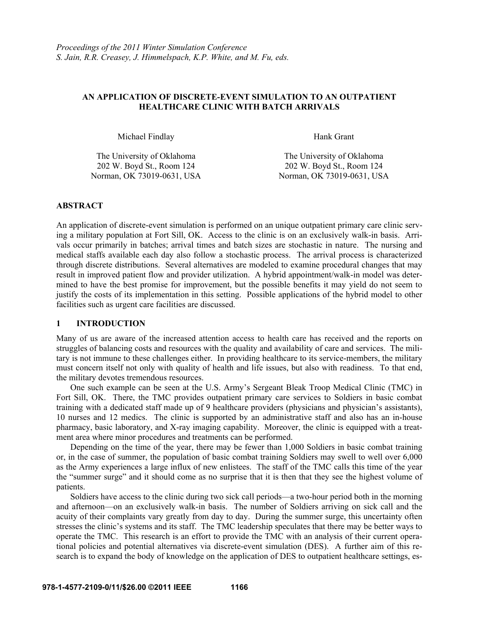# **AN APPLICATION OF DISCRETE-EVENT SIMULATION TO AN OUTPATIENT HEALTHCARE CLINIC WITH BATCH ARRIVALS**

Michael Findlay Hank Grant

| The University of Oklahoma | The University of Oklahoma |
|----------------------------|----------------------------|
| 202 W. Boyd St., Room 124  | 202 W. Boyd St., Room 124  |
| Norman, OK 73019-0631, USA | Norman, OK 73019-0631, USA |

## **ABSTRACT**

An application of discrete-event simulation is performed on an unique outpatient primary care clinic serving a military population at Fort Sill, OK. Access to the clinic is on an exclusively walk-in basis. Arrivals occur primarily in batches; arrival times and batch sizes are stochastic in nature. The nursing and medical staffs available each day also follow a stochastic process. The arrival process is characterized through discrete distributions. Several alternatives are modeled to examine procedural changes that may result in improved patient flow and provider utilization. A hybrid appointment/walk-in model was determined to have the best promise for improvement, but the possible benefits it may yield do not seem to justify the costs of its implementation in this setting. Possible applications of the hybrid model to other facilities such as urgent care facilities are discussed.

# **1 INTRODUCTION**

Many of us are aware of the increased attention access to health care has received and the reports on struggles of balancing costs and resources with the quality and availability of care and services. The military is not immune to these challenges either. In providing healthcare to its service-members, the military must concern itself not only with quality of health and life issues, but also with readiness. To that end, the military devotes tremendous resources.

One such example can be seen at the U.S. Army's Sergeant Bleak Troop Medical Clinic (TMC) in Fort Sill, OK. There, the TMC provides outpatient primary care services to Soldiers in basic combat training with a dedicated staff made up of 9 healthcare providers (physicians and physician's assistants), 10 nurses and 12 medics. The clinic is supported by an administrative staff and also has an in-house pharmacy, basic laboratory, and X-ray imaging capability. Moreover, the clinic is equipped with a treatment area where minor procedures and treatments can be performed.

Depending on the time of the year, there may be fewer than 1,000 Soldiers in basic combat training or, in the case of summer, the population of basic combat training Soldiers may swell to well over 6,000 as the Army experiences a large influx of new enlistees. The staff of the TMC calls this time of the year the "summer surge" and it should come as no surprise that it is then that they see the highest volume of patients.

Soldiers have access to the clinic during two sick call periods—a two-hour period both in the morning and afternoon—on an exclusively walk-in basis. The number of Soldiers arriving on sick call and the acuity of their complaints vary greatly from day to day. During the summer surge, this uncertainty often stresses the clinic's systems and its staff. The TMC leadership speculates that there may be better ways to operate the TMC. This research is an effort to provide the TMC with an analysis of their current operational policies and potential alternatives via discrete-event simulation (DES). A further aim of this research is to expand the body of knowledge on the application of DES to outpatient healthcare settings, es-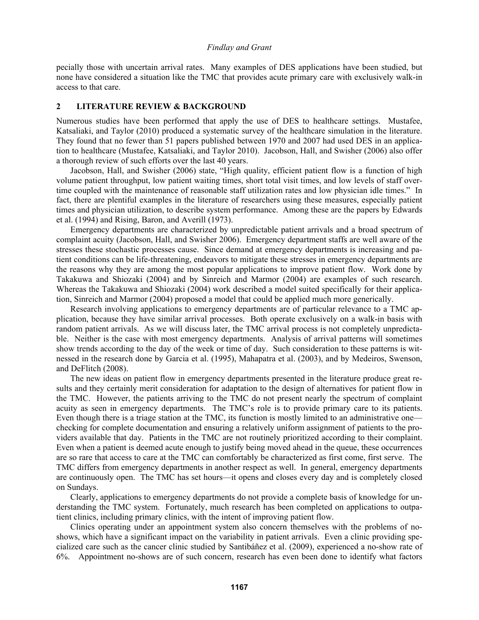pecially those with uncertain arrival rates. Many examples of DES applications have been studied, but none have considered a situation like the TMC that provides acute primary care with exclusively walk-in access to that care.

## **2 LITERATURE REVIEW & BACKGROUND**

Numerous studies have been performed that apply the use of DES to healthcare settings. Mustafee, Katsaliaki, and Taylor (2010) produced a systematic survey of the healthcare simulation in the literature. They found that no fewer than 51 papers published between 1970 and 2007 had used DES in an application to healthcare (Mustafee, Katsaliaki, and Taylor 2010). Jacobson, Hall, and Swisher (2006) also offer a thorough review of such efforts over the last 40 years.

Jacobson, Hall, and Swisher (2006) state, "High quality, efficient patient flow is a function of high volume patient throughput, low patient waiting times, short total visit times, and low levels of staff overtime coupled with the maintenance of reasonable staff utilization rates and low physician idle times." In fact, there are plentiful examples in the literature of researchers using these measures, especially patient times and physician utilization, to describe system performance. Among these are the papers by Edwards et al. (1994) and Rising, Baron, and Averill (1973).

Emergency departments are characterized by unpredictable patient arrivals and a broad spectrum of complaint acuity (Jacobson, Hall, and Swisher 2006). Emergency department staffs are well aware of the stresses these stochastic processes cause. Since demand at emergency departments is increasing and patient conditions can be life-threatening, endeavors to mitigate these stresses in emergency departments are the reasons why they are among the most popular applications to improve patient flow. Work done by Takakuwa and Shiozaki (2004) and by Sinreich and Marmor (2004) are examples of such research. Whereas the Takakuwa and Shiozaki (2004) work described a model suited specifically for their application, Sinreich and Marmor (2004) proposed a model that could be applied much more generically.

Research involving applications to emergency departments are of particular relevance to a TMC application, because they have similar arrival processes. Both operate exclusively on a walk-in basis with random patient arrivals. As we will discuss later, the TMC arrival process is not completely unpredictable. Neither is the case with most emergency departments. Analysis of arrival patterns will sometimes show trends according to the day of the week or time of day. Such consideration to these patterns is witnessed in the research done by Garcia et al. (1995), Mahapatra et al. (2003), and by Medeiros, Swenson, and DeFlitch (2008).

The new ideas on patient flow in emergency departments presented in the literature produce great results and they certainly merit consideration for adaptation to the design of alternatives for patient flow in the TMC. However, the patients arriving to the TMC do not present nearly the spectrum of complaint acuity as seen in emergency departments. The TMC's role is to provide primary care to its patients. Even though there is a triage station at the TMC, its function is mostly limited to an administrative one checking for complete documentation and ensuring a relatively uniform assignment of patients to the providers available that day. Patients in the TMC are not routinely prioritized according to their complaint. Even when a patient is deemed acute enough to justify being moved ahead in the queue, these occurrences are so rare that access to care at the TMC can comfortably be characterized as first come, first serve. The TMC differs from emergency departments in another respect as well. In general, emergency departments are continuously open. The TMC has set hours—it opens and closes every day and is completely closed on Sundays.

Clearly, applications to emergency departments do not provide a complete basis of knowledge for understanding the TMC system. Fortunately, much research has been completed on applications to outpatient clinics, including primary clinics, with the intent of improving patient flow.

Clinics operating under an appointment system also concern themselves with the problems of noshows, which have a significant impact on the variability in patient arrivals. Even a clinic providing specialized care such as the cancer clinic studied by Santibáñez et al. (2009), experienced a no-show rate of 6%. Appointment no-shows are of such concern, research has even been done to identify what factors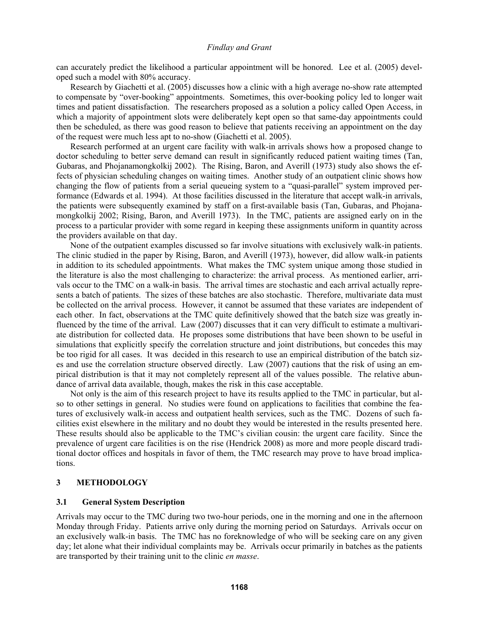can accurately predict the likelihood a particular appointment will be honored. Lee et al. (2005) developed such a model with 80% accuracy.

Research by Giachetti et al. (2005) discusses how a clinic with a high average no-show rate attempted to compensate by "over-booking" appointments. Sometimes, this over-booking policy led to longer wait times and patient dissatisfaction. The researchers proposed as a solution a policy called Open Access, in which a majority of appointment slots were deliberately kept open so that same-day appointments could then be scheduled, as there was good reason to believe that patients receiving an appointment on the day of the request were much less apt to no-show (Giachetti et al. 2005).

Research performed at an urgent care facility with walk-in arrivals shows how a proposed change to doctor scheduling to better serve demand can result in significantly reduced patient waiting times (Tan, Gubaras, and Phojanamongkolkij 2002). The Rising, Baron, and Averill (1973) study also shows the effects of physician scheduling changes on waiting times. Another study of an outpatient clinic shows how changing the flow of patients from a serial queueing system to a "quasi-parallel" system improved performance (Edwards et al. 1994). At those facilities discussed in the literature that accept walk-in arrivals, the patients were subsequently examined by staff on a first-available basis (Tan, Gubaras, and Phojanamongkolkij 2002; Rising, Baron, and Averill 1973). In the TMC, patients are assigned early on in the process to a particular provider with some regard in keeping these assignments uniform in quantity across the providers available on that day.

None of the outpatient examples discussed so far involve situations with exclusively walk-in patients. The clinic studied in the paper by Rising, Baron, and Averill (1973), however, did allow walk-in patients in addition to its scheduled appointments. What makes the TMC system unique among those studied in the literature is also the most challenging to characterize: the arrival process. As mentioned earlier, arrivals occur to the TMC on a walk-in basis. The arrival times are stochastic and each arrival actually represents a batch of patients. The sizes of these batches are also stochastic. Therefore, multivariate data must be collected on the arrival process. However, it cannot be assumed that these variates are independent of each other. In fact, observations at the TMC quite definitively showed that the batch size was greatly influenced by the time of the arrival. Law (2007) discusses that it can very difficult to estimate a multivariate distribution for collected data. He proposes some distributions that have been shown to be useful in simulations that explicitly specify the correlation structure and joint distributions, but concedes this may be too rigid for all cases. It was decided in this research to use an empirical distribution of the batch sizes and use the correlation structure observed directly. Law (2007) cautions that the risk of using an empirical distribution is that it may not completely represent all of the values possible. The relative abundance of arrival data available, though, makes the risk in this case acceptable.

Not only is the aim of this research project to have its results applied to the TMC in particular, but also to other settings in general. No studies were found on applications to facilities that combine the features of exclusively walk-in access and outpatient health services, such as the TMC. Dozens of such facilities exist elsewhere in the military and no doubt they would be interested in the results presented here. These results should also be applicable to the TMC's civilian cousin: the urgent care facility. Since the prevalence of urgent care facilities is on the rise (Hendrick 2008) as more and more people discard traditional doctor offices and hospitals in favor of them, the TMC research may prove to have broad implications.

# **3 METHODOLOGY**

# **3.1 General System Description**

Arrivals may occur to the TMC during two two-hour periods, one in the morning and one in the afternoon Monday through Friday. Patients arrive only during the morning period on Saturdays. Arrivals occur on an exclusively walk-in basis. The TMC has no foreknowledge of who will be seeking care on any given day; let alone what their individual complaints may be. Arrivals occur primarily in batches as the patients are transported by their training unit to the clinic *en masse*.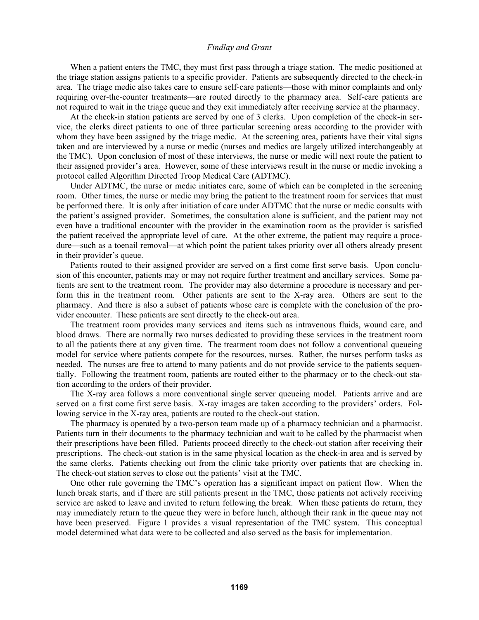When a patient enters the TMC, they must first pass through a triage station. The medic positioned at the triage station assigns patients to a specific provider. Patients are subsequently directed to the check-in area. The triage medic also takes care to ensure self-care patients—those with minor complaints and only requiring over-the-counter treatments—are routed directly to the pharmacy area. Self-care patients are not required to wait in the triage queue and they exit immediately after receiving service at the pharmacy.

At the check-in station patients are served by one of 3 clerks. Upon completion of the check-in service, the clerks direct patients to one of three particular screening areas according to the provider with whom they have been assigned by the triage medic. At the screening area, patients have their vital signs taken and are interviewed by a nurse or medic (nurses and medics are largely utilized interchangeably at the TMC). Upon conclusion of most of these interviews, the nurse or medic will next route the patient to their assigned provider's area. However, some of these interviews result in the nurse or medic invoking a protocol called Algorithm Directed Troop Medical Care (ADTMC).

Under ADTMC, the nurse or medic initiates care, some of which can be completed in the screening room. Other times, the nurse or medic may bring the patient to the treatment room for services that must be performed there. It is only after initiation of care under ADTMC that the nurse or medic consults with the patient's assigned provider. Sometimes, the consultation alone is sufficient, and the patient may not even have a traditional encounter with the provider in the examination room as the provider is satisfied the patient received the appropriate level of care. At the other extreme, the patient may require a procedure—such as a toenail removal—at which point the patient takes priority over all others already present in their provider's queue.

 Patients routed to their assigned provider are served on a first come first serve basis. Upon conclusion of this encounter, patients may or may not require further treatment and ancillary services. Some patients are sent to the treatment room. The provider may also determine a procedure is necessary and perform this in the treatment room. Other patients are sent to the X-ray area. Others are sent to the pharmacy. And there is also a subset of patients whose care is complete with the conclusion of the provider encounter. These patients are sent directly to the check-out area.

The treatment room provides many services and items such as intravenous fluids, wound care, and blood draws. There are normally two nurses dedicated to providing these services in the treatment room to all the patients there at any given time. The treatment room does not follow a conventional queueing model for service where patients compete for the resources, nurses. Rather, the nurses perform tasks as needed. The nurses are free to attend to many patients and do not provide service to the patients sequentially. Following the treatment room, patients are routed either to the pharmacy or to the check-out station according to the orders of their provider.

The X-ray area follows a more conventional single server queueing model. Patients arrive and are served on a first come first serve basis. X-ray images are taken according to the providers' orders. Following service in the X-ray area, patients are routed to the check-out station.

The pharmacy is operated by a two-person team made up of a pharmacy technician and a pharmacist. Patients turn in their documents to the pharmacy technician and wait to be called by the pharmacist when their prescriptions have been filled. Patients proceed directly to the check-out station after receiving their prescriptions. The check-out station is in the same physical location as the check-in area and is served by the same clerks. Patients checking out from the clinic take priority over patients that are checking in. The check-out station serves to close out the patients' visit at the TMC.

One other rule governing the TMC's operation has a significant impact on patient flow. When the lunch break starts, and if there are still patients present in the TMC, those patients not actively receiving service are asked to leave and invited to return following the break. When these patients do return, they may immediately return to the queue they were in before lunch, although their rank in the queue may not have been preserved. Figure 1 provides a visual representation of the TMC system. This conceptual model determined what data were to be collected and also served as the basis for implementation.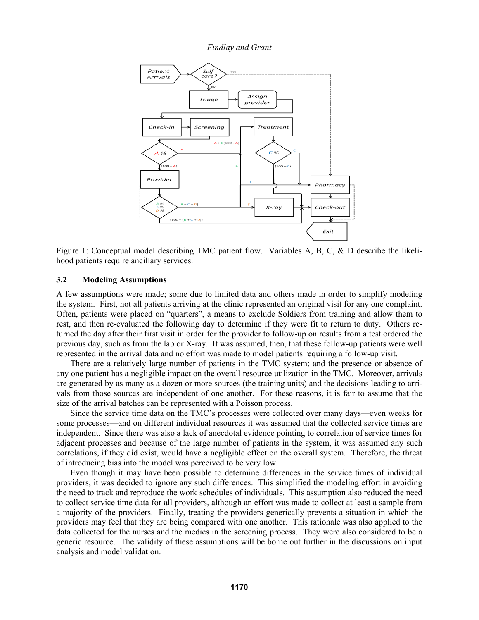*Findlay and Grant* 



Figure 1: Conceptual model describing TMC patient flow. Variables A, B, C, & D describe the likelihood patients require ancillary services.

# **3.2 Modeling Assumptions**

A few assumptions were made; some due to limited data and others made in order to simplify modeling the system. First, not all patients arriving at the clinic represented an original visit for any one complaint. Often, patients were placed on "quarters", a means to exclude Soldiers from training and allow them to rest, and then re-evaluated the following day to determine if they were fit to return to duty. Others returned the day after their first visit in order for the provider to follow-up on results from a test ordered the previous day, such as from the lab or X-ray. It was assumed, then, that these follow-up patients were well represented in the arrival data and no effort was made to model patients requiring a follow-up visit.

There are a relatively large number of patients in the TMC system; and the presence or absence of any one patient has a negligible impact on the overall resource utilization in the TMC. Moreover, arrivals are generated by as many as a dozen or more sources (the training units) and the decisions leading to arrivals from those sources are independent of one another. For these reasons, it is fair to assume that the size of the arrival batches can be represented with a Poisson process.

Since the service time data on the TMC's processes were collected over many days—even weeks for some processes—and on different individual resources it was assumed that the collected service times are independent. Since there was also a lack of anecdotal evidence pointing to correlation of service times for adjacent processes and because of the large number of patients in the system, it was assumed any such correlations, if they did exist, would have a negligible effect on the overall system. Therefore, the threat of introducing bias into the model was perceived to be very low.

Even though it may have been possible to determine differences in the service times of individual providers, it was decided to ignore any such differences. This simplified the modeling effort in avoiding the need to track and reproduce the work schedules of individuals. This assumption also reduced the need to collect service time data for all providers, although an effort was made to collect at least a sample from a majority of the providers. Finally, treating the providers generically prevents a situation in which the providers may feel that they are being compared with one another. This rationale was also applied to the data collected for the nurses and the medics in the screening process. They were also considered to be a generic resource. The validity of these assumptions will be borne out further in the discussions on input analysis and model validation.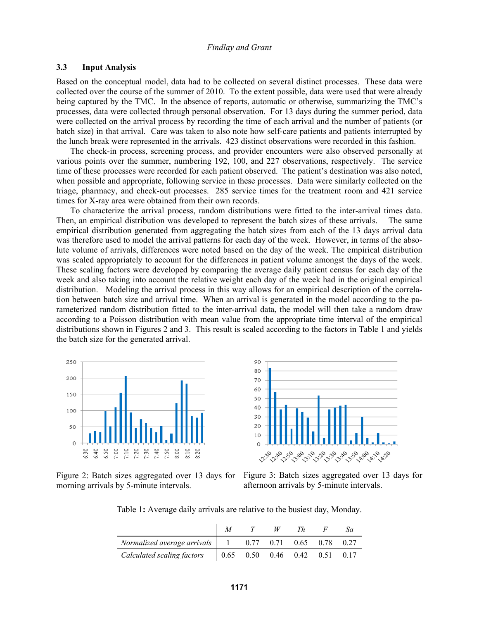#### **3.3 Input Analysis**

Based on the conceptual model, data had to be collected on several distinct processes. These data were collected over the course of the summer of 2010. To the extent possible, data were used that were already being captured by the TMC. In the absence of reports, automatic or otherwise, summarizing the TMC's processes, data were collected through personal observation. For 13 days during the summer period, data were collected on the arrival process by recording the time of each arrival and the number of patients (or batch size) in that arrival. Care was taken to also note how self-care patients and patients interrupted by the lunch break were represented in the arrivals. 423 distinct observations were recorded in this fashion.

The check-in process, screening process, and provider encounters were also observed personally at various points over the summer, numbering 192, 100, and 227 observations, respectively. The service time of these processes were recorded for each patient observed. The patient's destination was also noted, when possible and appropriate, following service in these processes. Data were similarly collected on the triage, pharmacy, and check-out processes. 285 service times for the treatment room and 421 service times for X-ray area were obtained from their own records.

 To characterize the arrival process, random distributions were fitted to the inter-arrival times data. Then, an empirical distribution was developed to represent the batch sizes of these arrivals. The same empirical distribution generated from aggregating the batch sizes from each of the 13 days arrival data was therefore used to model the arrival patterns for each day of the week. However, in terms of the absolute volume of arrivals, differences were noted based on the day of the week. The empirical distribution was scaled appropriately to account for the differences in patient volume amongst the days of the week. These scaling factors were developed by comparing the average daily patient census for each day of the week and also taking into account the relative weight each day of the week had in the original empirical distribution. Modeling the arrival process in this way allows for an empirical description of the correlation between batch size and arrival time. When an arrival is generated in the model according to the parameterized random distribution fitted to the inter-arrival data, the model will then take a random draw according to a Poisson distribution with mean value from the appropriate time interval of the empirical distributions shown in Figures 2 and 3. This result is scaled according to the factors in Table 1 and yields the batch size for the generated arrival.



morning arrivals by 5-minute intervals.



Figure 2: Batch sizes aggregated over 13 days for Figure 3: Batch sizes aggregated over 13 days for afternoon arrivals by 5-minute intervals.

Table 1**:** Average daily arrivals are relative to the busiest day, Monday.

|                                                                                                  |                                                           | Тh |      |      |
|--------------------------------------------------------------------------------------------------|-----------------------------------------------------------|----|------|------|
| Normalized average arrivals $\begin{vmatrix} 1 & 0.77 & 0.71 & 0.65 & 0.78 & 0.27 \end{vmatrix}$ |                                                           |    |      |      |
| Calculated scaling factors                                                                       | $\begin{bmatrix} 0.65 & 0.50 & 0.46 & 0.42 \end{bmatrix}$ |    | 0.51 | 0.17 |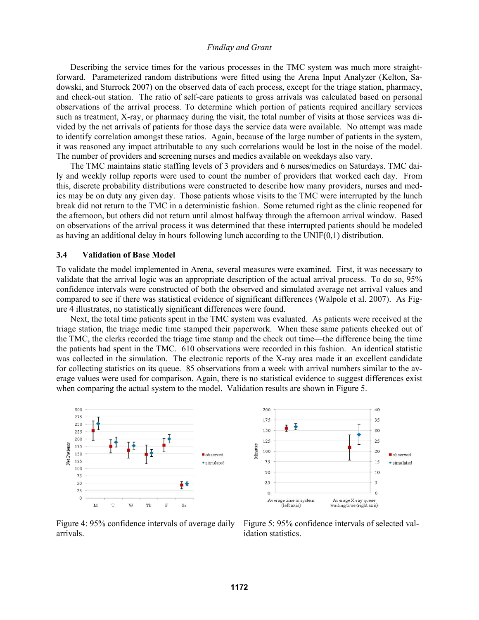Describing the service times for the various processes in the TMC system was much more straightforward. Parameterized random distributions were fitted using the Arena Input Analyzer (Kelton, Sadowski, and Sturrock 2007) on the observed data of each process, except for the triage station, pharmacy, and check-out station. The ratio of self-care patients to gross arrivals was calculated based on personal observations of the arrival process. To determine which portion of patients required ancillary services such as treatment, X-ray, or pharmacy during the visit, the total number of visits at those services was divided by the net arrivals of patients for those days the service data were available. No attempt was made to identify correlation amongst these ratios. Again, because of the large number of patients in the system, it was reasoned any impact attributable to any such correlations would be lost in the noise of the model. The number of providers and screening nurses and medics available on weekdays also vary.

The TMC maintains static staffing levels of 3 providers and 6 nurses/medics on Saturdays. TMC daily and weekly rollup reports were used to count the number of providers that worked each day. From this, discrete probability distributions were constructed to describe how many providers, nurses and medics may be on duty any given day. Those patients whose visits to the TMC were interrupted by the lunch break did not return to the TMC in a deterministic fashion. Some returned right as the clinic reopened for the afternoon, but others did not return until almost halfway through the afternoon arrival window. Based on observations of the arrival process it was determined that these interrupted patients should be modeled as having an additional delay in hours following lunch according to the UNIF(0,1) distribution.

#### **3.4 Validation of Base Model**

To validate the model implemented in Arena, several measures were examined. First, it was necessary to validate that the arrival logic was an appropriate description of the actual arrival process. To do so, 95% confidence intervals were constructed of both the observed and simulated average net arrival values and compared to see if there was statistical evidence of significant differences (Walpole et al. 2007). As Figure 4 illustrates, no statistically significant differences were found.

Next, the total time patients spent in the TMC system was evaluated. As patients were received at the triage station, the triage medic time stamped their paperwork. When these same patients checked out of the TMC, the clerks recorded the triage time stamp and the check out time—the difference being the time the patients had spent in the TMC. 610 observations were recorded in this fashion. An identical statistic was collected in the simulation. The electronic reports of the X-ray area made it an excellent candidate for collecting statistics on its queue. 85 observations from a week with arrival numbers similar to the average values were used for comparison. Again, there is no statistical evidence to suggest differences exist when comparing the actual system to the model. Validation results are shown in Figure 5.





Figure 4: 95% confidence intervals of average daily arrivals.

Figure 5: 95% confidence intervals of selected validation statistics.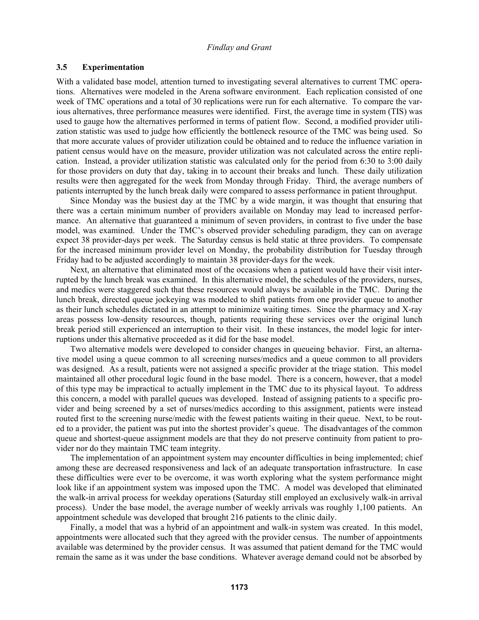## **3.5 Experimentation**

With a validated base model, attention turned to investigating several alternatives to current TMC operations. Alternatives were modeled in the Arena software environment. Each replication consisted of one week of TMC operations and a total of 30 replications were run for each alternative. To compare the various alternatives, three performance measures were identified. First, the average time in system (TIS) was used to gauge how the alternatives performed in terms of patient flow. Second, a modified provider utilization statistic was used to judge how efficiently the bottleneck resource of the TMC was being used. So that more accurate values of provider utilization could be obtained and to reduce the influence variation in patient census would have on the measure, provider utilization was not calculated across the entire replication. Instead, a provider utilization statistic was calculated only for the period from 6:30 to 3:00 daily for those providers on duty that day, taking in to account their breaks and lunch. These daily utilization results were then aggregated for the week from Monday through Friday. Third, the average numbers of patients interrupted by the lunch break daily were compared to assess performance in patient throughput.

Since Monday was the busiest day at the TMC by a wide margin, it was thought that ensuring that there was a certain minimum number of providers available on Monday may lead to increased performance. An alternative that guaranteed a minimum of seven providers, in contrast to five under the base model, was examined. Under the TMC's observed provider scheduling paradigm, they can on average expect 38 provider-days per week. The Saturday census is held static at three providers. To compensate for the increased minimum provider level on Monday, the probability distribution for Tuesday through Friday had to be adjusted accordingly to maintain 38 provider-days for the week.

Next, an alternative that eliminated most of the occasions when a patient would have their visit interrupted by the lunch break was examined. In this alternative model, the schedules of the providers, nurses, and medics were staggered such that these resources would always be available in the TMC. During the lunch break, directed queue jockeying was modeled to shift patients from one provider queue to another as their lunch schedules dictated in an attempt to minimize waiting times. Since the pharmacy and X-ray areas possess low-density resources, though, patients requiring these services over the original lunch break period still experienced an interruption to their visit. In these instances, the model logic for interruptions under this alternative proceeded as it did for the base model.

Two alternative models were developed to consider changes in queueing behavior. First, an alternative model using a queue common to all screening nurses/medics and a queue common to all providers was designed. As a result, patients were not assigned a specific provider at the triage station. This model maintained all other procedural logic found in the base model. There is a concern, however, that a model of this type may be impractical to actually implement in the TMC due to its physical layout. To address this concern, a model with parallel queues was developed. Instead of assigning patients to a specific provider and being screened by a set of nurses/medics according to this assignment, patients were instead routed first to the screening nurse/medic with the fewest patients waiting in their queue. Next, to be routed to a provider, the patient was put into the shortest provider's queue. The disadvantages of the common queue and shortest-queue assignment models are that they do not preserve continuity from patient to provider nor do they maintain TMC team integrity.

The implementation of an appointment system may encounter difficulties in being implemented; chief among these are decreased responsiveness and lack of an adequate transportation infrastructure. In case these difficulties were ever to be overcome, it was worth exploring what the system performance might look like if an appointment system was imposed upon the TMC. A model was developed that eliminated the walk-in arrival process for weekday operations (Saturday still employed an exclusively walk-in arrival process). Under the base model, the average number of weekly arrivals was roughly 1,100 patients. An appointment schedule was developed that brought 216 patients to the clinic daily.

Finally, a model that was a hybrid of an appointment and walk-in system was created. In this model, appointments were allocated such that they agreed with the provider census. The number of appointments available was determined by the provider census. It was assumed that patient demand for the TMC would remain the same as it was under the base conditions. Whatever average demand could not be absorbed by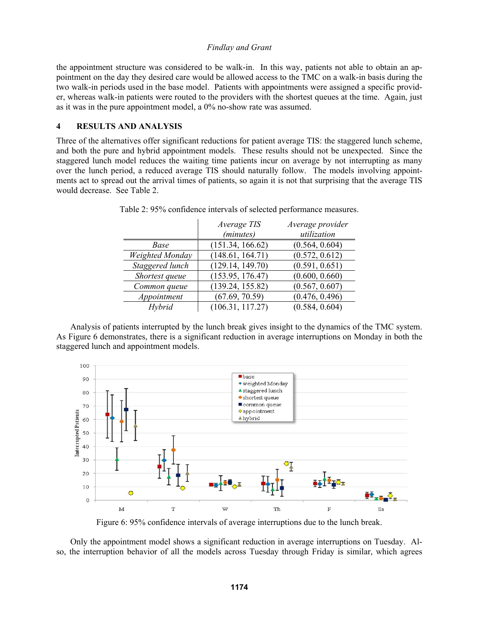the appointment structure was considered to be walk-in. In this way, patients not able to obtain an appointment on the day they desired care would be allowed access to the TMC on a walk-in basis during the two walk-in periods used in the base model. Patients with appointments were assigned a specific provider, whereas walk-in patients were routed to the providers with the shortest queues at the time. Again, just as it was in the pure appointment model, a 0% no-show rate was assumed.

## **4 RESULTS AND ANALYSIS**

Three of the alternatives offer significant reductions for patient average TIS: the staggered lunch scheme, and both the pure and hybrid appointment models. These results should not be unexpected. Since the staggered lunch model reduces the waiting time patients incur on average by not interrupting as many over the lunch period, a reduced average TIS should naturally follow. The models involving appointments act to spread out the arrival times of patients, so again it is not that surprising that the average TIS would decrease. See Table 2.

|                 | Average TIS      | Average provider |  |  |
|-----------------|------------------|------------------|--|--|
|                 | (minutes)        | utilization      |  |  |
| Base            | (151.34, 166.62) | (0.564, 0.604)   |  |  |
| Weighted Monday | (148.61, 164.71) | (0.572, 0.612)   |  |  |
| Staggered lunch | (129.14, 149.70) | (0.591, 0.651)   |  |  |
| Shortest queue  | (153.95, 176.47) | (0.600, 0.660)   |  |  |
| Common queue    | (139.24, 155.82) | (0.567, 0.607)   |  |  |
| Appointment     | (67.69, 70.59)   | (0.476, 0.496)   |  |  |
| Hybrid          | (106.31, 117.27) | (0.584, 0.604)   |  |  |

Table 2: 95% confidence intervals of selected performance measures.

Analysis of patients interrupted by the lunch break gives insight to the dynamics of the TMC system. As Figure 6 demonstrates, there is a significant reduction in average interruptions on Monday in both the staggered lunch and appointment models.



Figure 6: 95% confidence intervals of average interruptions due to the lunch break.

Only the appointment model shows a significant reduction in average interruptions on Tuesday. Also, the interruption behavior of all the models across Tuesday through Friday is similar, which agrees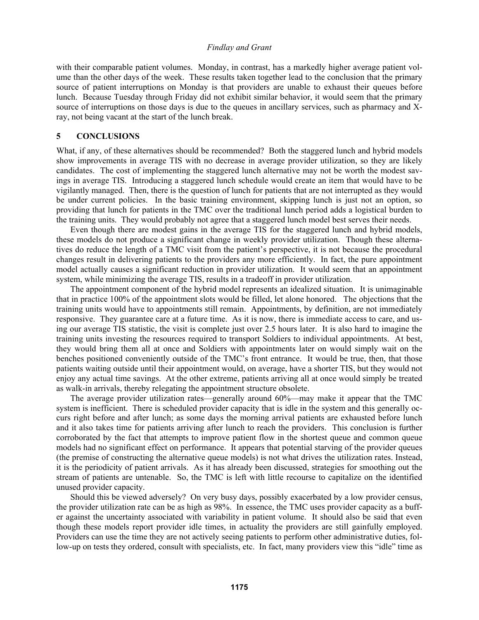with their comparable patient volumes. Monday, in contrast, has a markedly higher average patient volume than the other days of the week. These results taken together lead to the conclusion that the primary source of patient interruptions on Monday is that providers are unable to exhaust their queues before lunch. Because Tuesday through Friday did not exhibit similar behavior, it would seem that the primary source of interruptions on those days is due to the queues in ancillary services, such as pharmacy and Xray, not being vacant at the start of the lunch break.

#### **5 CONCLUSIONS**

What, if any, of these alternatives should be recommended? Both the staggered lunch and hybrid models show improvements in average TIS with no decrease in average provider utilization, so they are likely candidates. The cost of implementing the staggered lunch alternative may not be worth the modest savings in average TIS. Introducing a staggered lunch schedule would create an item that would have to be vigilantly managed. Then, there is the question of lunch for patients that are not interrupted as they would be under current policies. In the basic training environment, skipping lunch is just not an option, so providing that lunch for patients in the TMC over the traditional lunch period adds a logistical burden to the training units. They would probably not agree that a staggered lunch model best serves their needs.

Even though there are modest gains in the average TIS for the staggered lunch and hybrid models, these models do not produce a significant change in weekly provider utilization. Though these alternatives do reduce the length of a TMC visit from the patient's perspective, it is not because the procedural changes result in delivering patients to the providers any more efficiently. In fact, the pure appointment model actually causes a significant reduction in provider utilization. It would seem that an appointment system, while minimizing the average TIS, results in a tradeoff in provider utilization.

The appointment component of the hybrid model represents an idealized situation. It is unimaginable that in practice 100% of the appointment slots would be filled, let alone honored. The objections that the training units would have to appointments still remain. Appointments, by definition, are not immediately responsive. They guarantee care at a future time. As it is now, there is immediate access to care, and using our average TIS statistic, the visit is complete just over 2.5 hours later. It is also hard to imagine the training units investing the resources required to transport Soldiers to individual appointments. At best, they would bring them all at once and Soldiers with appointments later on would simply wait on the benches positioned conveniently outside of the TMC's front entrance. It would be true, then, that those patients waiting outside until their appointment would, on average, have a shorter TIS, but they would not enjoy any actual time savings. At the other extreme, patients arriving all at once would simply be treated as walk-in arrivals, thereby relegating the appointment structure obsolete.

The average provider utilization rates—generally around 60%—may make it appear that the TMC system is inefficient. There is scheduled provider capacity that is idle in the system and this generally occurs right before and after lunch; as some days the morning arrival patients are exhausted before lunch and it also takes time for patients arriving after lunch to reach the providers. This conclusion is further corroborated by the fact that attempts to improve patient flow in the shortest queue and common queue models had no significant effect on performance. It appears that potential starving of the provider queues (the premise of constructing the alternative queue models) is not what drives the utilization rates. Instead, it is the periodicity of patient arrivals. As it has already been discussed, strategies for smoothing out the stream of patients are untenable. So, the TMC is left with little recourse to capitalize on the identified unused provider capacity.

Should this be viewed adversely? On very busy days, possibly exacerbated by a low provider census, the provider utilization rate can be as high as 98%. In essence, the TMC uses provider capacity as a buffer against the uncertainty associated with variability in patient volume. It should also be said that even though these models report provider idle times, in actuality the providers are still gainfully employed. Providers can use the time they are not actively seeing patients to perform other administrative duties, follow-up on tests they ordered, consult with specialists, etc. In fact, many providers view this "idle" time as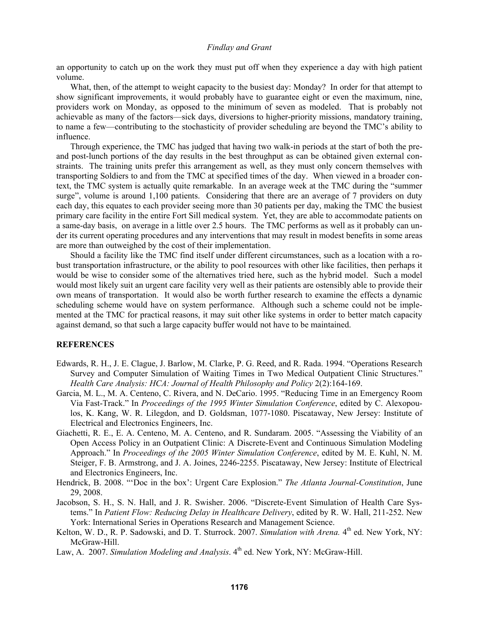an opportunity to catch up on the work they must put off when they experience a day with high patient volume.

What, then, of the attempt to weight capacity to the busiest day: Monday? In order for that attempt to show significant improvements, it would probably have to guarantee eight or even the maximum, nine, providers work on Monday, as opposed to the minimum of seven as modeled. That is probably not achievable as many of the factors—sick days, diversions to higher-priority missions, mandatory training, to name a few—contributing to the stochasticity of provider scheduling are beyond the TMC's ability to influence.

Through experience, the TMC has judged that having two walk-in periods at the start of both the preand post-lunch portions of the day results in the best throughput as can be obtained given external constraints. The training units prefer this arrangement as well, as they must only concern themselves with transporting Soldiers to and from the TMC at specified times of the day. When viewed in a broader context, the TMC system is actually quite remarkable. In an average week at the TMC during the "summer surge", volume is around 1,100 patients. Considering that there are an average of 7 providers on duty each day, this equates to each provider seeing more than 30 patients per day, making the TMC the busiest primary care facility in the entire Fort Sill medical system. Yet, they are able to accommodate patients on a same-day basis, on average in a little over 2.5 hours. The TMC performs as well as it probably can under its current operating procedures and any interventions that may result in modest benefits in some areas are more than outweighed by the cost of their implementation.

Should a facility like the TMC find itself under different circumstances, such as a location with a robust transportation infrastructure, or the ability to pool resources with other like facilities, then perhaps it would be wise to consider some of the alternatives tried here, such as the hybrid model. Such a model would most likely suit an urgent care facility very well as their patients are ostensibly able to provide their own means of transportation. It would also be worth further research to examine the effects a dynamic scheduling scheme would have on system performance. Although such a scheme could not be implemented at the TMC for practical reasons, it may suit other like systems in order to better match capacity against demand, so that such a large capacity buffer would not have to be maintained.

# **REFERENCES**

- Edwards, R. H., J. E. Clague, J. Barlow, M. Clarke, P. G. Reed, and R. Rada. 1994. "Operations Research Survey and Computer Simulation of Waiting Times in Two Medical Outpatient Clinic Structures." *Health Care Analysis: HCA: Journal of Health Philosophy and Policy* 2(2):164-169.
- Garcia, M. L., M. A. Centeno, C. Rivera, and N. DeCario. 1995. "Reducing Time in an Emergency Room Via Fast-Track." In *Proceedings of the 1995 Winter Simulation Conference*, edited by C. Alexopoulos, K. Kang, W. R. Lilegdon, and D. Goldsman, 1077-1080. Piscataway, New Jersey: Institute of Electrical and Electronics Engineers, Inc.
- Giachetti, R. E., E. A. Centeno, M. A. Centeno, and R. Sundaram. 2005. "Assessing the Viability of an Open Access Policy in an Outpatient Clinic: A Discrete-Event and Continuous Simulation Modeling Approach." In *Proceedings of the 2005 Winter Simulation Conference*, edited by M. E. Kuhl, N. M. Steiger, F. B. Armstrong, and J. A. Joines, 2246-2255. Piscataway, New Jersey: Institute of Electrical and Electronics Engineers, Inc.
- Hendrick, B. 2008. "'Doc in the box': Urgent Care Explosion." *The Atlanta Journal-Constitution*, June 29, 2008.
- Jacobson, S. H., S. N. Hall, and J. R. Swisher. 2006. "Discrete-Event Simulation of Health Care Systems." In *Patient Flow: Reducing Delay in Healthcare Delivery*, edited by R. W. Hall, 211-252. New York: International Series in Operations Research and Management Science.
- Kelton, W. D., R. P. Sadowski, and D. T. Sturrock. 2007. *Simulation with Arena.* 4<sup>th</sup> ed. New York, NY: McGraw-Hill.
- Law, A. 2007. *Simulation Modeling and Analysis*. 4th ed. New York, NY: McGraw-Hill.